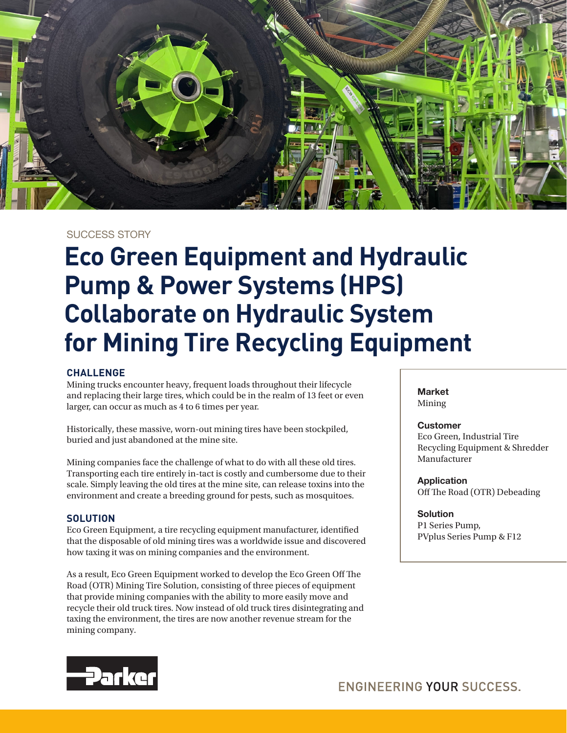

# SUCCESS STORY

# **Eco Green Equipment and Hydraulic Pump & Power Systems (HPS) Collaborate on Hydraulic System for Mining Tire Recycling Equipment**

## **CHALLENGE**

Mining trucks encounter heavy, frequent loads throughout their lifecycle and replacing their large tires, which could be in the realm of 13 feet or even larger, can occur as much as 4 to 6 times per year.

Historically, these massive, worn-out mining tires have been stockpiled, buried and just abandoned at the mine site.

Mining companies face the challenge of what to do with all these old tires. Transporting each tire entirely in-tact is costly and cumbersome due to their scale. Simply leaving the old tires at the mine site, can release toxins into the environment and create a breeding ground for pests, such as mosquitoes.

## **SOLUTION**

Eco Green Equipment, a tire recycling equipment manufacturer, identified that the disposable of old mining tires was a worldwide issue and discovered how taxing it was on mining companies and the environment.

As a result, Eco Green Equipment worked to develop the Eco Green Off The Road (OTR) Mining Tire Solution, consisting of three pieces of equipment that provide mining companies with the ability to more easily move and recycle their old truck tires. Now instead of old truck tires disintegrating and taxing the environment, the tires are now another revenue stream for the mining company.

**Market** Mining

#### **Customer**

Eco Green, Industrial Tire Recycling Equipment & Shredder Manufacturer

**Application** Off The Road (OTR) Debeading

#### **Solution**

P1 Series Pump, PVplus Series Pump & F12

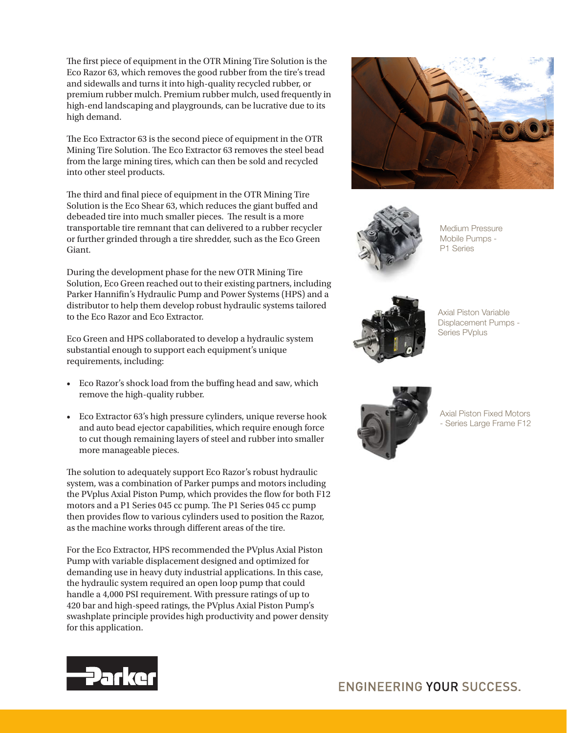The first piece of equipment in the OTR Mining Tire Solution is the Eco Razor 63, which removes the good rubber from the tire's tread and sidewalls and turns it into high-quality recycled rubber, or premium rubber mulch. Premium rubber mulch, used frequently in high-end landscaping and playgrounds, can be lucrative due to its high demand.

The Eco Extractor 63 is the second piece of equipment in the OTR Mining Tire Solution. The Eco Extractor 63 removes the steel bead from the large mining tires, which can then be sold and recycled into other steel products.

The third and final piece of equipment in the OTR Mining Tire Solution is the Eco Shear 63, which reduces the giant buffed and debeaded tire into much smaller pieces. The result is a more transportable tire remnant that can delivered to a rubber recycler or further grinded through a tire shredder, such as the Eco Green Giant.

During the development phase for the new OTR Mining Tire Solution, Eco Green reached out to their existing partners, including Parker Hannifin's Hydraulic Pump and Power Systems (HPS) and a distributor to help them develop robust hydraulic systems tailored to the Eco Razor and Eco Extractor.

Eco Green and HPS collaborated to develop a hydraulic system substantial enough to support each equipment's unique requirements, including:

- Eco Razor's shock load from the buffing head and saw, which remove the high-quality rubber.
- Eco Extractor 63's high pressure cylinders, unique reverse hook and auto bead ejector capabilities, which require enough force to cut though remaining layers of steel and rubber into smaller more manageable pieces.

The solution to adequately support Eco Razor's robust hydraulic system, was a combination of Parker pumps and motors including the PVplus Axial Piston Pump, which provides the flow for both F12 motors and a P1 Series 045 cc pump. The P1 Series 045 cc pump then provides flow to various cylinders used to position the Razor, as the machine works through different areas of the tire.

For the Eco Extractor, HPS recommended the PVplus Axial Piston Pump with variable displacement designed and optimized for demanding use in heavy duty industrial applications. In this case, the hydraulic system required an open loop pump that could handle a 4,000 PSI requirement. With pressure ratings of up to 420 bar and high-speed ratings, the PVplus Axial Piston Pump's swashplate principle provides high productivity and power density for this application.





Medium Pressure Mobile Pumps - P1 Series



Axial Piston Variable Displacement Pumps - Series PVplus



Axial Piston Fixed Motors - Series Large Frame F12